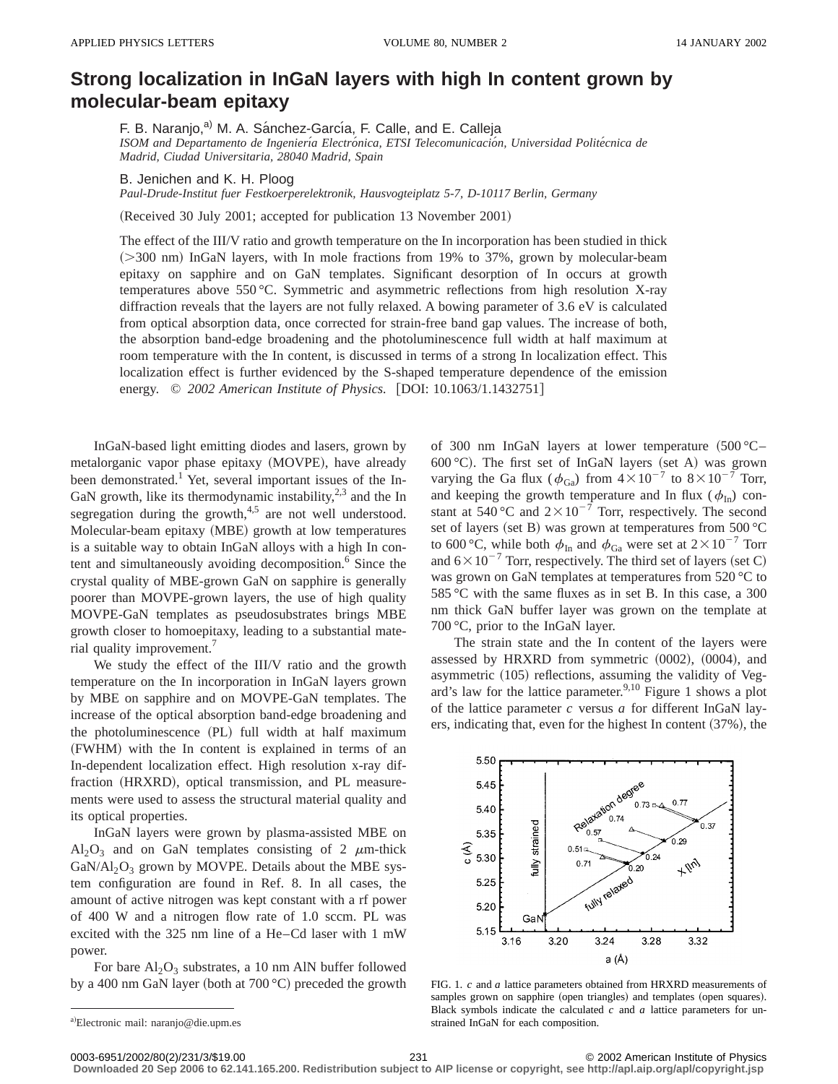## **Strong localization in InGaN layers with high In content grown by molecular-beam epitaxy**

F. B. Naranjo,<sup>a)</sup> M. A. Sánchez-García, F. Calle, and E. Calleja

*ISOM and Departamento de Ingenierı´a Electro´nica, ETSI Telecomunicacio´n, Universidad Polite´cnica de Madrid, Ciudad Universitaria, 28040 Madrid, Spain*

B. Jenichen and K. H. Ploog

*Paul-Drude-Institut fuer Festkoerperelektronik, Hausvogteiplatz 5-7, D-10117 Berlin, Germany*

(Received 30 July 2001; accepted for publication 13 November 2001)

The effect of the III/V ratio and growth temperature on the In incorporation has been studied in thick  $(>= 300 \text{ nm})$  InGaN layers, with In mole fractions from 19% to 37%, grown by molecular-beam epitaxy on sapphire and on GaN templates. Significant desorption of In occurs at growth temperatures above 550 °C. Symmetric and asymmetric reflections from high resolution X-ray diffraction reveals that the layers are not fully relaxed. A bowing parameter of 3.6 eV is calculated from optical absorption data, once corrected for strain-free band gap values. The increase of both, the absorption band-edge broadening and the photoluminescence full width at half maximum at room temperature with the In content, is discussed in terms of a strong In localization effect. This localization effect is further evidenced by the S-shaped temperature dependence of the emission energy. © 2002 American Institute of Physics. [DOI: 10.1063/1.1432751]

InGaN-based light emitting diodes and lasers, grown by metalorganic vapor phase epitaxy (MOVPE), have already been demonstrated.<sup>1</sup> Yet, several important issues of the In-GaN growth, like its thermodynamic instability, $2,3$  and the In segregation during the growth, $4.5$  are not well understood. Molecular-beam epitaxy (MBE) growth at low temperatures is a suitable way to obtain InGaN alloys with a high In content and simultaneously avoiding decomposition.<sup>6</sup> Since the crystal quality of MBE-grown GaN on sapphire is generally poorer than MOVPE-grown layers, the use of high quality MOVPE-GaN templates as pseudosubstrates brings MBE growth closer to homoepitaxy, leading to a substantial material quality improvement.7

We study the effect of the III/V ratio and the growth temperature on the In incorporation in InGaN layers grown by MBE on sapphire and on MOVPE-GaN templates. The increase of the optical absorption band-edge broadening and the photoluminescence (PL) full width at half maximum (FWHM) with the In content is explained in terms of an In-dependent localization effect. High resolution x-ray diffraction (HRXRD), optical transmission, and PL measurements were used to assess the structural material quality and its optical properties.

InGaN layers were grown by plasma-assisted MBE on  $Al_2O_3$  and on GaN templates consisting of 2  $\mu$ m-thick  $GaN/Al_2O_3$  grown by MOVPE. Details about the MBE system configuration are found in Ref. 8. In all cases, the amount of active nitrogen was kept constant with a rf power of 400 W and a nitrogen flow rate of 1.0 sccm. PL was excited with the 325 nm line of a He–Cd laser with 1 mW power.

For bare  $Al_2O_3$  substrates, a 10 nm AlN buffer followed by a 400 nm GaN layer (both at  $700 °C$ ) preceded the growth

The strain state and the In content of the layers were assessed by HRXRD from symmetric  $(0002)$ ,  $(0004)$ , and asymmetric (105) reflections, assuming the validity of Vegard's law for the lattice parameter.  $9,10$  Figure 1 shows a plot of the lattice parameter *c* versus *a* for different InGaN layers, indicating that, even for the highest In content  $(37%)$ , the



FIG. 1. *c* and *a* lattice parameters obtained from HRXRD measurements of samples grown on sapphire (open triangles) and templates (open squares). Black symbols indicate the calculated *c* and *a* lattice parameters for unstrained InGaN for each composition.

**Downloaded 20 Sep 2006 to 62.141.165.200. Redistribution subject to AIP license or copyright, see http://apl.aip.org/apl/copyright.jsp**

of 300 nm InGaN layers at lower temperature  $(500 °C–$ 600 °C). The first set of InGaN layers (set A) was grown varying the Ga flux ( $\phi_{Ga}$ ) from  $4\times10^{-7}$  to  $8\times10^{-7}$  Torr, and keeping the growth temperature and In flux ( $\phi$ <sub>In</sub>) constant at 540 °C and  $2 \times 10^{-7}$  Torr, respectively. The second set of layers (set B) was grown at temperatures from  $500 °C$ to 600 °C, while both  $\phi_{In}$  and  $\phi_{Ga}$  were set at  $2 \times 10^{-7}$  Torr and  $6\times10^{-7}$  Torr, respectively. The third set of layers (set C) was grown on GaN templates at temperatures from 520 °C to 585 °C with the same fluxes as in set B. In this case, a 300 nm thick GaN buffer layer was grown on the template at 700 °C, prior to the InGaN layer.

a)Electronic mail: naranjo@die.upm.es

<sup>0003-6951/2002/80(2)/231/3/\$19.00 © 2002</sup> American Institute of Physics 231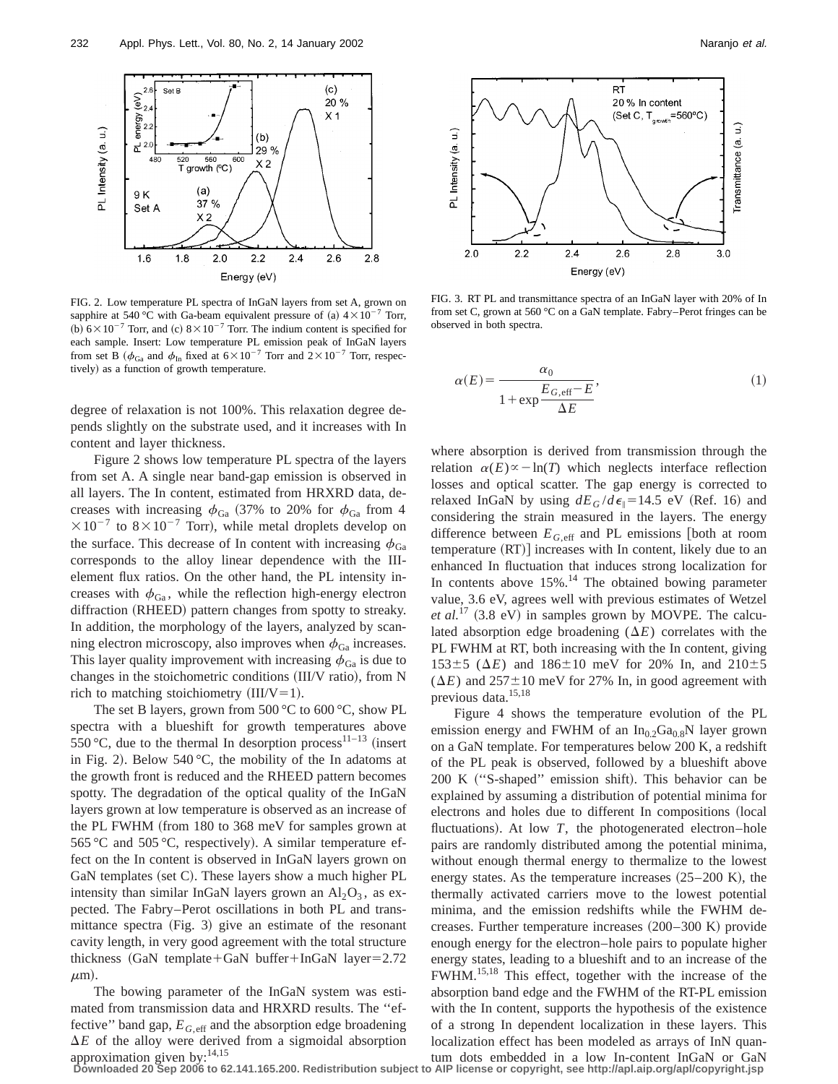

FIG. 2. Low temperature PL spectra of InGaN layers from set A, grown on sapphire at 540 °C with Ga-beam equivalent pressure of (a)  $4 \times 10^{-7}$  Torr, (b)  $6 \times 10^{-7}$  Torr, and (c)  $8 \times 10^{-7}$  Torr. The indium content is specified for each sample. Insert: Low temperature PL emission peak of InGaN layers from set B ( $\phi_{Ga}$  and  $\phi_{In}$  fixed at  $6\times10^{-7}$  Torr and  $2\times10^{-7}$  Torr, respectively) as a function of growth temperature.

degree of relaxation is not 100%. This relaxation degree depends slightly on the substrate used, and it increases with In content and layer thickness.

Figure 2 shows low temperature PL spectra of the layers from set A. A single near band-gap emission is observed in all layers. The In content, estimated from HRXRD data, decreases with increasing  $\phi_{Ga}$  (37% to 20% for  $\phi_{Ga}$  from 4  $\times 10^{-7}$  to  $8\times 10^{-7}$  Torr), while metal droplets develop on the surface. This decrease of In content with increasing  $\phi_{Ga}$ corresponds to the alloy linear dependence with the IIIelement flux ratios. On the other hand, the PL intensity increases with  $\phi_{Ga}$ , while the reflection high-energy electron diffraction (RHEED) pattern changes from spotty to streaky. In addition, the morphology of the layers, analyzed by scanning electron microscopy, also improves when  $\phi_{Ga}$  increases. This layer quality improvement with increasing  $\phi_{Ga}$  is due to changes in the stoichometric conditions (III/V ratio), from N rich to matching stoichiometry  $(III/V=1)$ .

The set B layers, grown from 500 °C to 600 °C, show PL spectra with a blueshift for growth temperatures above 550 °C, due to the thermal In desorption process<sup>11-13</sup> (insert in Fig. 2). Below 540 °C, the mobility of the In adatoms at the growth front is reduced and the RHEED pattern becomes spotty. The degradation of the optical quality of the InGaN layers grown at low temperature is observed as an increase of the PL FWHM (from  $180$  to  $368$  meV for samples grown at 565 °C and 505 °C, respectively). A similar temperature effect on the In content is observed in InGaN layers grown on GaN templates (set C). These layers show a much higher  $PL$ intensity than similar InGaN layers grown an  $Al_2O_3$ , as expected. The Fabry–Perot oscillations in both PL and transmittance spectra (Fig. 3) give an estimate of the resonant cavity length, in very good agreement with the total structure thickness  $(GaN$  template+GaN buffer+InGaN layer=2.72  $\mu$ m).

The bowing parameter of the InGaN system was estimated from transmission data and HRXRD results. The ''effective'' band gap,  $E_{G,eff}$  and the absorption edge broadening  $\Delta E$  of the alloy were derived from a sigmoidal absorption



FIG. 3. RT PL and transmittance spectra of an InGaN layer with 20% of In from set C, grown at 560 °C on a GaN template. Fabry–Perot fringes can be observed in both spectra.

$$
\alpha(E) = \frac{\alpha_0}{1 + \exp\frac{E_{G,\text{eff}} - E}{\Delta E}},\tag{1}
$$

where absorption is derived from transmission through the relation  $\alpha(E) \propto -\ln(T)$  which neglects interface reflection losses and optical scatter. The gap energy is corrected to relaxed InGaN by using  $dE_G/d\epsilon_{\parallel}=14.5$  eV (Ref. 16) and considering the strain measured in the layers. The energy difference between  $E_{G, \text{eff}}$  and PL emissions [both at room  $temperature (RT)]$  increases with In content, likely due to an enhanced In fluctuation that induces strong localization for In contents above  $15\%$ .<sup>14</sup> The obtained bowing parameter value, 3.6 eV, agrees well with previous estimates of Wetzel *et al.*<sup>17</sup>  $(3.8 \text{ eV})$  in samples grown by MOVPE. The calculated absorption edge broadening  $(\Delta E)$  correlates with the PL FWHM at RT, both increasing with the In content, giving  $153±5$  ( $\Delta E$ ) and  $186±10$  meV for 20% In, and  $210±5$  $(\Delta E)$  and  $257 \pm 10$  meV for 27% In, in good agreement with previous data.15,18

Figure 4 shows the temperature evolution of the PL emission energy and FWHM of an  $In_{0.2}Ga_{0.8}N$  layer grown on a GaN template. For temperatures below 200 K, a redshift of the PL peak is observed, followed by a blueshift above 200 K ("S-shaped" emission shift). This behavior can be explained by assuming a distribution of potential minima for electrons and holes due to different In compositions (local fluctuations). At low  $T$ , the photogenerated electron–hole pairs are randomly distributed among the potential minima, without enough thermal energy to thermalize to the lowest energy states. As the temperature increases  $(25–200 \text{ K})$ , the thermally activated carriers move to the lowest potential minima, and the emission redshifts while the FWHM decreases. Further temperature increases  $(200–300 \text{ K})$  provide enough energy for the electron–hole pairs to populate higher energy states, leading to a blueshift and to an increase of the FWHM.15,18 This effect, together with the increase of the absorption band edge and the FWHM of the RT-PL emission with the In content, supports the hypothesis of the existence of a strong In dependent localization in these layers. This localization effect has been modeled as arrays of InN quan-

approximation given by:<sup>14,15</sup><br>Downloaded 20 Sep 2006 to 62.141.165.200. Redistribution subject to AIP license or copyright, see http://apl.aip.org/apl/copyright.jsp